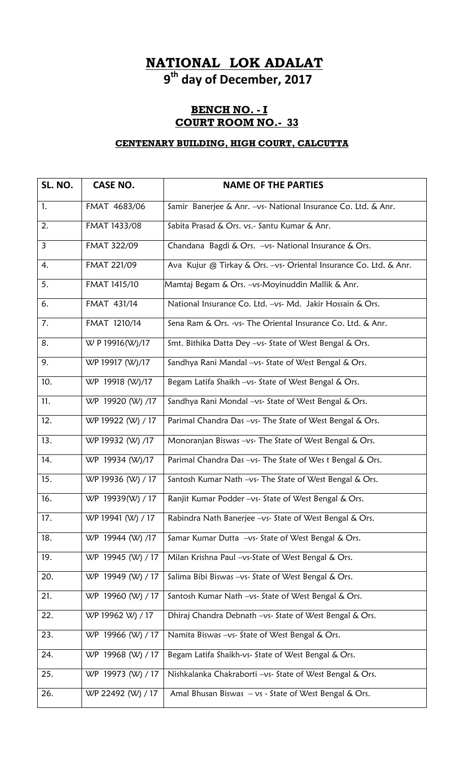# **NATIONAL LOK ADALAT**

**9th day of December, 2017**

#### **BENCH NO. - I COURT ROOM NO.- 33**

#### **CENTENARY BUILDING, HIGH COURT, CALCUTTA**

| SL. NO. | <b>CASE NO.</b>   | <b>NAME OF THE PARTIES</b>                                        |
|---------|-------------------|-------------------------------------------------------------------|
| 1.      | FMAT 4683/06      | Samir Banerjee & Anr. - vs- National Insurance Co. Ltd. & Anr.    |
| 2.      | FMAT 1433/08      | Sabita Prasad & Ors. vs.- Santu Kumar & Anr.                      |
| 3       | FMAT 322/09       | Chandana Bagdi & Ors. - vs- National Insurance & Ors.             |
| 4.      | FMAT 221/09       | Ava Kujur @ Tirkay & Ors. -vs- Oriental Insurance Co. Ltd. & Anr. |
| 5.      | FMAT 1415/10      | Mamtaj Begam & Ors. - vs-Moyinuddin Mallik & Anr.                 |
| 6.      | FMAT 431/14       | National Insurance Co. Ltd. -vs- Md. Jakir Hossain & Ors.         |
| 7.      | FMAT 1210/14      | Sena Ram & Ors. -vs- The Oriental Insurance Co. Ltd. & Anr.       |
| 8.      | W P 19916(W)/17   | Smt. Bithika Datta Dey -vs- State of West Bengal & Ors.           |
| 9.      | WP 19917 (W)/17   | Sandhya Rani Mandal -vs- State of West Bengal & Ors.              |
| 10.     | WP 19918 (W)/17   | Begam Latifa Shaikh -vs- State of West Bengal & Ors.              |
| 11.     | WP 19920 (W) /17  | Sandhya Rani Mondal -vs- State of West Bengal & Ors.              |
| 12.     | WP 19922 (W) / 17 | Parimal Chandra Das -vs- The State of West Bengal & Ors.          |
| 13.     | WP 19932 (W) /17  | Monoranjan Biswas -vs- The State of West Bengal & Ors.            |
| 14.     | WP 19934 (W)/17   | Parimal Chandra Das -vs- The State of Wes t Bengal & Ors.         |
| 15.     | WP 19936 (W) / 17 | Santosh Kumar Nath -vs- The State of West Bengal & Ors.           |
| 16.     | WP 19939(W) / 17  | Ranjit Kumar Podder -vs- State of West Bengal & Ors.              |
| 17.     | WP 19941 (W) / 17 | Rabindra Nath Banerjee -vs- State of West Bengal & Ors.           |
| 18.     | WP 19944 (W) /17  | Samar Kumar Dutta -vs- State of West Bengal & Ors.                |
| 19.     | WP 19945 (W) / 17 | Milan Krishna Paul -vs-State of West Bengal & Ors.                |
| 20.     | WP 19949 (W) / 17 | Salima Bibi Biswas -vs- State of West Bengal & Ors.               |
| 21.     | WP 19960 (W) / 17 | Santosh Kumar Nath -vs- State of West Bengal & Ors.               |
| 22.     | WP 19962 W) / 17  | Dhiraj Chandra Debnath -vs- State of West Bengal & Ors.           |
| 23.     | WP 19966 (W) / 17 | Namita Biswas -vs- State of West Bengal & Ors.                    |
| 24.     | WP 19968 (W) / 17 | Begam Latifa Shaikh-vs- State of West Bengal & Ors.               |
| 25.     | WP 19973 (W) / 17 | Nishkalanka Chakraborti -vs- State of West Bengal & Ors.          |
| 26.     | WP 22492 (W) / 17 | Amal Bhusan Biswas - vs - State of West Bengal & Ors.             |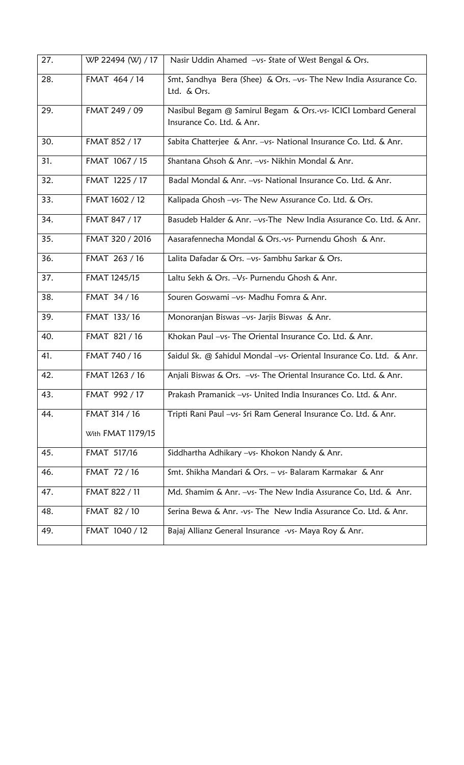| 27. | WP 22494 (W) / 17 | Nasir Uddin Ahamed -vs- State of West Bengal & Ors.                                         |
|-----|-------------------|---------------------------------------------------------------------------------------------|
| 28. | FMAT 464 / 14     | Smt, Sandhya Bera (Shee) & Ors. -vs- The New India Assurance Co.<br>Ltd. & Ors.             |
| 29. | FMAT 249 / 09     | Nasibul Begam @ Samirul Begam & Ors.-vs- ICICI Lombard General<br>Insurance Co. Ltd. & Anr. |
| 30. | FMAT 852 / 17     | Sabita Chatterjee & Anr. - vs- National Insurance Co. Ltd. & Anr.                           |
| 31. | FMAT 1067 / 15    | Shantana Ghsoh & Anr. -vs- Nikhin Mondal & Anr.                                             |
| 32. | FMAT 1225 / 17    | Badal Mondal & Anr. -vs- National Insurance Co. Ltd. & Anr.                                 |
| 33. | FMAT 1602 / 12    | Kalipada Ghosh -vs- The New Assurance Co. Ltd. & Ors.                                       |
| 34. | FMAT 847 / 17     | Basudeb Halder & Anr. - vs-The New India Assurance Co. Ltd. & Anr.                          |
| 35. | FMAT 320 / 2016   | Aasarafennecha Mondal & Ors.-vs- Purnendu Ghosh & Anr.                                      |
| 36. | FMAT 263 / 16     | Lalita Dafadar & Ors. - vs - Sambhu Sarkar & Ors.                                           |
| 37. | FMAT 1245/15      | Laltu Sekh & Ors. - Vs - Purnendu Ghosh & Anr.                                              |
| 38. | FMAT 34 / 16      | Souren Goswami -vs- Madhu Fomra & Anr.                                                      |
| 39. | FMAT 133/16       | Monoranjan Biswas -vs- Jarjis Biswas & Anr.                                                 |
| 40. | FMAT 821 / 16     | Khokan Paul -vs- The Oriental Insurance Co. Ltd. & Anr.                                     |
| 41. | FMAT 740 / 16     | Saidul Sk. @ Sahidul Mondal -vs- Oriental Insurance Co. Ltd. & Anr.                         |
| 42. | FMAT 1263 / 16    | Anjali Biswas & Ors. - vs- The Oriental Insurance Co. Ltd. & Anr.                           |
| 43. | FMAT 992 / 17     | Prakash Pramanick -vs- United India Insurances Co. Ltd. & Anr.                              |
| 44. | FMAT 314 / 16     | Tripti Rani Paul -vs- Sri Ram General Insurance Co. Ltd. & Anr.                             |
|     | With FMAT 1179/15 |                                                                                             |
| 45. | FMAT 517/16       | Siddhartha Adhikary -vs- Khokon Nandy & Anr.                                                |
| 46. | FMAT 72 / 16      | Smt. Shikha Mandari & Ors. - vs- Balaram Karmakar & Anr                                     |
| 47. | FMAT 822 / 11     | Md. Shamim & Anr. -vs- The New India Assurance Co, Ltd. & Anr.                              |
| 48. | FMAT 82 / 10      | Serina Bewa & Anr. -vs- The New India Assurance Co. Ltd. & Anr.                             |
| 49. | FMAT 1040 / 12    | Bajaj Allianz General Insurance -vs- Maya Roy & Anr.                                        |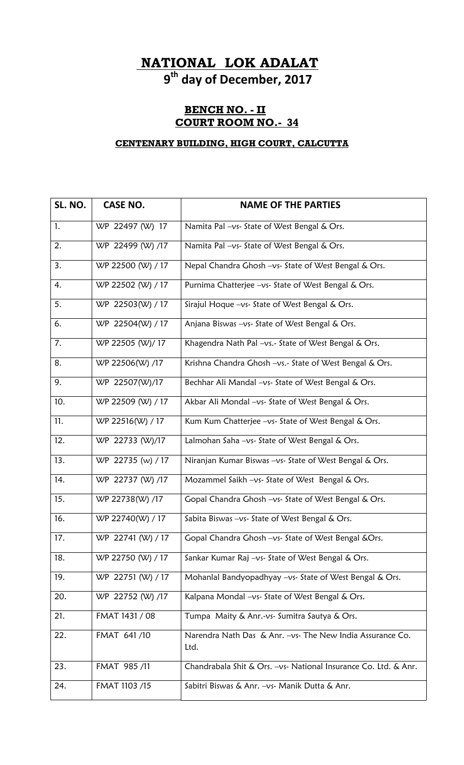## **NATIONAL LOK ADALAT**

**9th day of December, 2017**

#### **BENCH NO. - II COURT ROOM NO.- 34**

#### **CENTENARY BUILDING, HIGH COURT, CALCUTTA**

| SL. NO. | <b>CASE NO.</b>   | <b>NAME OF THE PARTIES</b>                                         |
|---------|-------------------|--------------------------------------------------------------------|
| 1.      | WP 22497 (W) 17   | Namita Pal -vs- State of West Bengal & Ors.                        |
| 2.      | WP 22499 (W) /17  | Namita Pal -vs- State of West Bengal & Ors.                        |
| 3.      | WP 22500 (W) / 17 | Nepal Chandra Ghosh -vs- State of West Bengal & Ors.               |
| 4.      | WP 22502 (W) / 17 | Purnima Chatterjee -vs- State of West Bengal & Ors.                |
| 5.      | WP 22503(W) / 17  | Sirajul Hoque -vs- State of West Bengal & Ors.                     |
| 6.      | WP 22504(W) / 17  | Anjana Biswas -vs- State of West Bengal & Ors.                     |
| 7.      | WP 22505 (W)/17   | Khagendra Nath Pal -vs.- State of West Bengal & Ors.               |
| 8.      | WP 22506(W) /17   | Krishna Chandra Ghosh -vs.- State of West Bengal & Ors.            |
| 9.      | WP 22507(W)/17    | Bechhar Ali Mandal -vs- State of West Bengal & Ors.                |
| 10.     | WP 22509 (W) / 17 | Akbar Ali Mondal -vs- State of West Bengal & Ors.                  |
| 11.     | WP 22516(W) / 17  | Kum Kum Chatterjee -vs- State of West Bengal & Ors.                |
| 12.     | WP 22733 (W)/17   | Lalmohan Saha -vs- State of West Bengal & Ors.                     |
| 13.     | WP 22735 (w) / 17 | Niranjan Kumar Biswas - vs- State of West Bengal & Ors.            |
| 14.     | WP 22737 (W) /17  | Mozammel Saikh -vs- State of West Bengal & Ors.                    |
| 15.     | WP 22738(W) /17   | Gopal Chandra Ghosh -vs- State of West Bengal & Ors.               |
| 16.     | WP 22740(W) / 17  | Sabita Biswas -vs- State of West Bengal & Ors.                     |
| 17.     | WP 22741 (W) / 17 | Gopal Chandra Ghosh -vs- State of West Bengal &Ors.                |
| 18.     | WP 22750 (W) / 17 | Sankar Kumar Raj -vs- State of West Bengal & Ors.                  |
| 19.     | WP 22751 (W) / 17 | Mohanlal Bandyopadhyay -vs- State of West Bengal & Ors.            |
| 20.     | WP 22752 (W) /17  | Kalpana Mondal -vs- State of West Bengal & Ors.                    |
| 21.     | FMAT 1431 / 08    | Tumpa Maity & Anr.-vs- Sumitra Sautya & Ors.                       |
| 22.     | FMAT 641/10       | Narendra Nath Das & Anr. - vs- The New India Assurance Co.<br>Ltd. |
| 23.     | FMAT 985 /11      | Chandrabala Shit & Ors. -vs- National Insurance Co. Ltd. & Anr.    |
| 24.     | FMAT 1103 /15     | Sabitri Biswas & Anr. - vs- Manik Dutta & Anr.                     |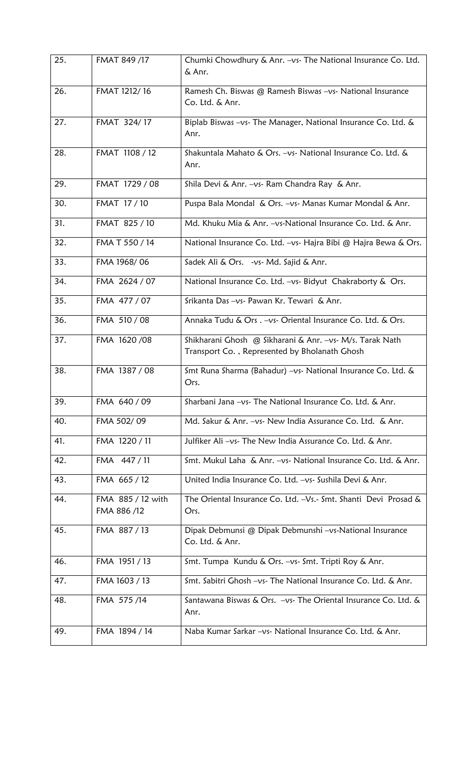| 25. | FMAT 849 /17                     | Chumki Chowdhury & Anr. - vs- The National Insurance Co. Ltd.<br>& Anr.                                   |
|-----|----------------------------------|-----------------------------------------------------------------------------------------------------------|
| 26. | FMAT 1212/16                     | Ramesh Ch. Biswas @ Ramesh Biswas -vs- National Insurance<br>Co. Ltd. & Anr.                              |
| 27. | FMAT 324/17                      | Biplab Biswas -vs- The Manager, National Insurance Co. Ltd. &<br>Anr.                                     |
| 28. | FMAT 1108 / 12                   | Shakuntala Mahato & Ors. -vs- National Insurance Co. Ltd. &<br>Anr.                                       |
| 29. | FMAT 1729 / 08                   | Shila Devi & Anr. -vs- Ram Chandra Ray & Anr.                                                             |
| 30. | FMAT 17 / 10                     | Puspa Bala Mondal & Ors. -vs- Manas Kumar Mondal & Anr.                                                   |
| 31. | FMAT 825 / 10                    | Md. Khuku Mia & Anr. - vs-National Insurance Co. Ltd. & Anr.                                              |
| 32. | FMA T 550 / 14                   | National Insurance Co. Ltd. -vs- Hajra Bibi @ Hajra Bewa & Ors.                                           |
| 33. | FMA 1968/06                      | Sadek Ali & Ors. - vs- Md. Sajid & Anr.                                                                   |
| 34. | FMA 2624 / 07                    | National Insurance Co. Ltd. -vs- Bidyut Chakraborty & Ors.                                                |
| 35. | FMA 477 / 07                     | Srikanta Das -vs- Pawan Kr. Tewari & Anr.                                                                 |
| 36. | FMA 510 / 08                     | Annaka Tudu & Ors. - vs - Oriental Insurance Co. Ltd. & Ors.                                              |
| 37. | FMA 1620/08                      | Shikharani Ghosh @ Sikharani & Anr. -vs- M/s. Tarak Nath<br>Transport Co., Represented by Bholanath Ghosh |
| 38. | FMA 1387 / 08                    | Smt Runa Sharma (Bahadur) - vs- National Insurance Co. Ltd. &<br>Ors.                                     |
| 39. | FMA 640 / 09                     | Sharbani Jana -vs- The National Insurance Co. Ltd. & Anr.                                                 |
| 40. | FMA 502/09                       | Md. Sakur & Anr. -vs- New India Assurance Co. Ltd. & Anr.                                                 |
| 41. | FMA 1220 / 11                    | Julfiker Ali -vs- The New India Assurance Co. Ltd. & Anr.                                                 |
| 42. | FMA 447 / 11                     | Smt. Mukul Laha & Anr. -vs- National Insurance Co. Ltd. & Anr.                                            |
| 43. | FMA 665 / 12                     | United India Insurance Co. Ltd. -vs- Sushila Devi & Anr.                                                  |
| 44. | FMA 885 / 12 with<br>FMA 886 /12 | The Oriental Insurance Co. Ltd. -Vs.- Smt. Shanti Devi Prosad &<br>Ors.                                   |
| 45. | FMA 887/13                       | Dipak Debmunsi @ Dipak Debmunshi -vs-National Insurance<br>Co. Ltd. & Anr.                                |
| 46. | FMA 1951 / 13                    | Smt. Tumpa Kundu & Ors. -vs- Smt. Tripti Roy & Anr.                                                       |
| 47. | FMA 1603 / 13                    | Smt. Sabitri Ghosh -vs- The National Insurance Co. Ltd. & Anr.                                            |
| 48. | FMA 575/14                       | Santawana Biswas & Ors. -vs- The Oriental Insurance Co. Ltd. &<br>Anr.                                    |
| 49. | FMA 1894 / 14                    | Naba Kumar Sarkar -vs- National Insurance Co. Ltd. & Anr.                                                 |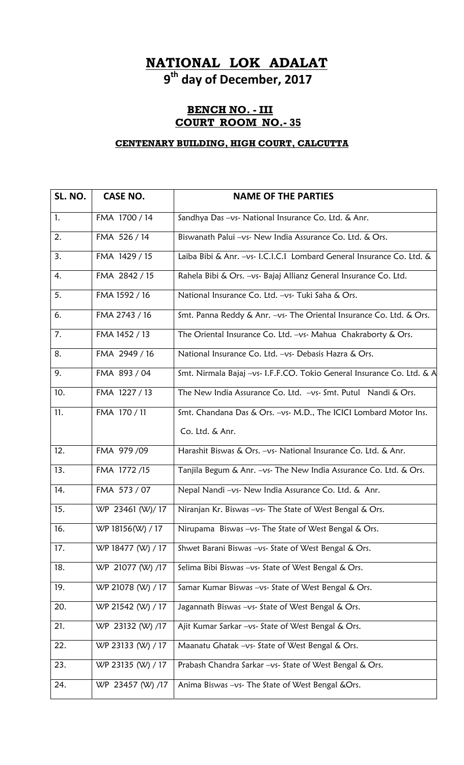## **NATIONAL LOK ADALAT**

**9th day of December, 2017**

### **BENCH NO. - III COURT ROOM NO.- 35**

### **CENTENARY BUILDING, HIGH COURT, CALCUTTA**

| SL. NO. | <b>CASE NO.</b>   | <b>NAME OF THE PARTIES</b>                                             |
|---------|-------------------|------------------------------------------------------------------------|
| 1.      | FMA 1700 / 14     | Sandhya Das -vs- National Insurance Co. Ltd. & Anr.                    |
| 2.      | FMA 526 / 14      | Biswanath Palui -vs- New India Assurance Co. Ltd. & Ors.               |
| 3.      | FMA 1429 / 15     | Laiba Bibi & Anr. -vs- I.C.I.C.I Lombard General Insurance Co. Ltd. &  |
| 4.      | FMA 2842 / 15     | Rahela Bibi & Ors. - vs- Bajaj Allianz General Insurance Co. Ltd.      |
| 5.      | FMA 1592 / 16     | National Insurance Co. Ltd. -vs- Tuki Saha & Ors.                      |
| 6.      | FMA 2743 / 16     | Smt. Panna Reddy & Anr. -vs- The Oriental Insurance Co. Ltd. & Ors.    |
| 7.      | FMA 1452 / 13     | The Oriental Insurance Co. Ltd. $-\nu s$ - Mahua Chakraborty & Ors.    |
| 8.      | FMA 2949 / 16     | National Insurance Co. Ltd. -vs- Debasis Hazra & Ors.                  |
| 9.      | FMA 893 / 04      | Smt. Nirmala Bajaj -vs- I.F.F.CO. Tokio General Insurance Co. Ltd. & A |
| 10.     | FMA 1227 / 13     | The New India Assurance Co. Ltd. -vs- Smt. Putul Nandi & Ors.          |
| 11.     | FMA 170 / 11      | Smt. Chandana Das & Ors. -vs- M.D., The ICICI Lombard Motor Ins.       |
|         |                   | Co. Ltd. & Anr.                                                        |
| 12.     | FMA 979 /09       | Harashit Biswas & Ors. -vs- National Insurance Co. Ltd. & Anr.         |
| 13.     | FMA 1772/15       | Tanjila Begum & Anr. - vs- The New India Assurance Co. Ltd. & Ors.     |
| 14.     | FMA 573 / 07      | Nepal Nandi -vs- New India Assurance Co. Ltd. & Anr.                   |
| 15.     | WP 23461 (W)/17   | Niranjan Kr. Biswas -vs- The State of West Bengal & Ors.               |
| 16.     | WP 18156(W) / 17  | Nirupama Biswas -vs- The State of West Bengal & Ors.                   |
| 17.     | WP 18477 (W) / 17 | Shwet Barani Biswas -vs- State of West Bengal & Ors.                   |
| 18.     | WP 21077 (W) /17  | Selima Bibi Biswas -vs- State of West Bengal & Ors.                    |
| 19.     | WP 21078 (W) / 17 | Samar Kumar Biswas -vs- State of West Bengal & Ors.                    |
| 20.     | WP 21542 (W) / 17 | Jagannath Biswas -vs- State of West Bengal & Ors.                      |
| 21.     | WP 23132 (W) /17  | Ajit Kumar Sarkar -vs- State of West Bengal & Ors.                     |
| 22.     | WP 23133 (W) / 17 | Maanatu Ghatak -vs- State of West Bengal & Ors.                        |
| 23.     | WP 23135 (W) / 17 | Prabash Chandra Sarkar -vs- State of West Bengal & Ors.                |
| 24.     | WP 23457 (W) /17  | Anima Biswas -vs- The State of West Bengal &Ors.                       |